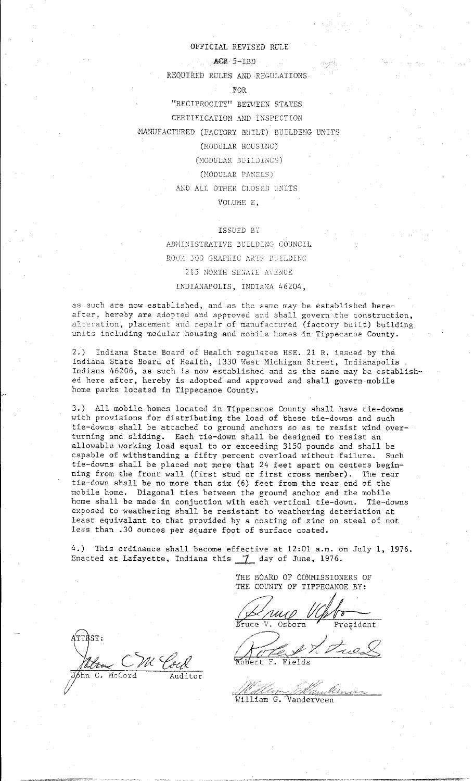## OFFICIAL REVISED RULE

## ACE 5-IBD

REQUIRED RULES AND REGULATIONS·

## FOR

"RECIPROCITY" BETWEEN STATES

CERTIFICATION AND INSPECTION

. MANUFACTURED (FACTORY BUILT) BUILDING UNITS

# (MODULAR HOUSING)

(MODULAR BUILDINGS)

### (MODULAR PANELS)

AND ALL OTHER CLOSED UNITS

## VOLUME E,

# ISSUED BT

## ADMINISTRATIVE BUILDING COUNCIL

ROOM 300 GRAPHIC ARTS BUILDING 215 NORTH SENATE AVENUE

## INDIANAPOLIS, INDIANA 46204,

as such are now established, and as the same may be established hereafter, hereby are adopted and approved and shall govern the construction, alteration, placement and repair of manufactured (factory built) building units including modular housing and mobile homes in Tippecanoe County.

2.) Indiana State Board of Health regulates HSE. 21 R. issued by the Indiana State Board of Health, 1330 West Michigan Street, Indianapolis Indiana 46206, as such is now established and as the same may be established here after, hereby is adopted and approved and shall govern mobile home parks located in Tippecanoe County.

3.) All mobile homes located in Tippecanoe County shall have tie-downs with provisions for distributing the load of these tie-downs and such tie-downs shall be attached to ground anchors so as to resist wind overturning and sliding. Each tie-down shall be designed to resist an allowable working load equal to or exceeding 3150 pounds and shall be capable of withstanding a fifty percent overload without failure. Such tie-downs shall be placed not more that 24 feet apart on centers beginning from the front wall (first stud or first cross member). The rear tie-down shall be no more than six (6) feet from the rear end of the mobile home. Diagonal ties between the ground anchor and the mobile home shall be made in conjuction with each vertical tie-down. Tie-downs exposed to weathering shall be resistant to weathering deteriation at least equivalant to that provided by a coating of zinc on steel of not less than .30 ounces per square foot of surface coated.

4.) This ordinance shall become effective at 12:01 a.m. on July 1, 1976. Enacted at Lafayette, Indiana this 7 day of June, 1976.

> THE BOARD OF COMMISSIONERS OF THE COUNTY OF TIPPECANOE BY:

Quip VG Po

B'ruce

'  $,$  ,  $\angle$   $\rightarrow$   $\qquad$ The Vitres

·------·----··-. "''''" ---------

William G. Vanderveen

fiTTBST: Mboy C Auditor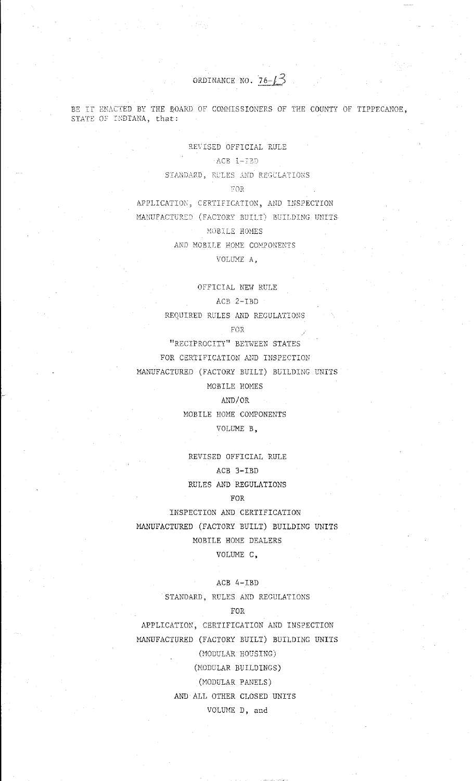ORDINANCE NO.  $76-\sqrt{3}$ 

 $\frac{1}{2} \left( \frac{1}{2} \left( \mathbf{a}^{\dagger} \right) \right)$  .

BE IT ENACTED BY THE BOARD OF COMMISSIONERS OF THE COUNTY OF TIPPECANOE, STATE OF INDIANA, that:

> REVISED OFFICIAL RULE  $\wedge$ ACB 1-13D STANDARD, RULES AND REGULATIONS FOR

APPLICATION, CERTIFICATION, AND INSPECTION MANUFACTURED (FACTORY BUILT) BUILDING UNITS MOBILE HOMES AND MOBILE HOME COMPONENTS VOLUME A.

## OFFICIAL NEW RULE

## $ACB$  2-IBD

REQUIRED RULES AND REGULATIONS

FOR

"RECIPROCITY" BETWEEN STATES

FOR CERTIFICATION AND INSPECTION

MANUFACTURED (FACTORY BUILT) BUILDING UNITS

MOBILE HOMES

## AND/OR

MOBILE HOME COMPONENTS VOLUME B.

REVISED OFFICIAL RULE ACB 3-IBD RULES AND REGULATIONS

# FOR

INSPECTION AND CERTIFICATION MANUFACTURED (FACTORY BUILT) BUILDING UNITS MOBILE HOME DEALERS

VOLUME C,

## ACB 4-IBD

STANDARD, RULES AND REGULATIONS

# FOR

APPLICATION, CERTIFICATION AND INSPECTION MANUFACTURED (FACTORY BUILT) BUILDING UNITS (MODULAR HOUSING) (MODULAR BUILDINGS) (MODULAR PANELS) AND ALL OTHER CLOSED UNITS VOLUME D, and